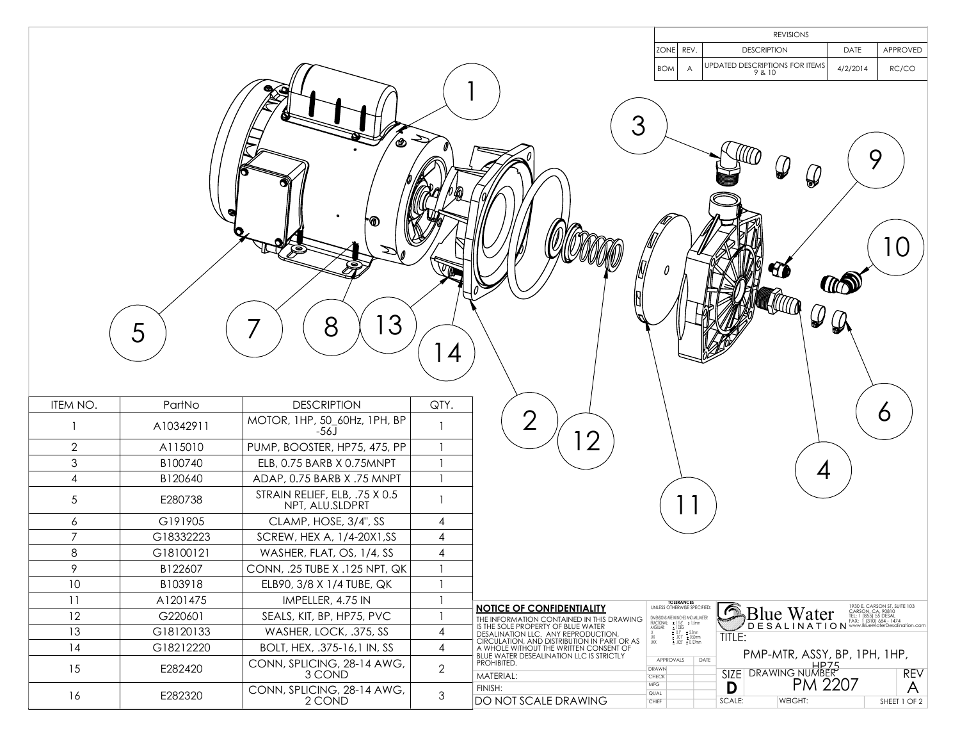|                |           |                                                  |                |                                                                                                                                   |                                                                                                                                                     | <b>REVISIONS</b>                                                |                                                                                                       |            |  |
|----------------|-----------|--------------------------------------------------|----------------|-----------------------------------------------------------------------------------------------------------------------------------|-----------------------------------------------------------------------------------------------------------------------------------------------------|-----------------------------------------------------------------|-------------------------------------------------------------------------------------------------------|------------|--|
|                |           |                                                  |                |                                                                                                                                   | ZONE REV.                                                                                                                                           | <b>DESCRIPTION</b>                                              | APPROVED<br>DATE                                                                                      |            |  |
|                |           |                                                  |                |                                                                                                                                   | <b>BOM</b><br>$\overline{A}$                                                                                                                        | UPDATED DESCRIPTIONS FOR ITEMS<br>9 & 10                        | 4/2/2014<br>RC/CO                                                                                     |            |  |
|                |           |                                                  |                |                                                                                                                                   |                                                                                                                                                     |                                                                 |                                                                                                       |            |  |
|                | 5         | ′⊛<br>'O<br>3<br>8                               |                | 3                                                                                                                                 |                                                                                                                                                     | $\mathcal Q$<br>$\mathcal{Q}$<br>40<br>$\mathcal{Q}$            | 9<br>10<br><b>TO</b>                                                                                  |            |  |
|                |           |                                                  | (4)            |                                                                                                                                   |                                                                                                                                                     |                                                                 |                                                                                                       |            |  |
| ITEM NO.       | PartNo    | <b>DESCRIPTION</b>                               | QTY.           | $\bigcirc$                                                                                                                        |                                                                                                                                                     |                                                                 | O                                                                                                     |            |  |
| 1              | A10342911 | MOTOR, 1HP, 50_60Hz, 1PH, BP<br>-56J             |                |                                                                                                                                   |                                                                                                                                                     |                                                                 |                                                                                                       |            |  |
| $\mathbf{2}$   | A115010   | PUMP, BOOSTER, HP75, 475, PP                     |                | $\overline{2}$                                                                                                                    |                                                                                                                                                     |                                                                 |                                                                                                       |            |  |
| $\mathfrak{S}$ | B100740   | ELB, 0.75 BARB X 0.75MNPT                        | $\mathbf{1}$   |                                                                                                                                   |                                                                                                                                                     |                                                                 |                                                                                                       |            |  |
| 4              | B120640   | ADAP, 0.75 BARB X .75 MNPT                       | $\overline{1}$ |                                                                                                                                   |                                                                                                                                                     | 4                                                               |                                                                                                       |            |  |
| $\sqrt{5}$     | E280738   | STRAIN RELIEF, ELB, .75 X 0.5<br>NPT, ALU.SLDPRT |                |                                                                                                                                   |                                                                                                                                                     |                                                                 |                                                                                                       |            |  |
| 6              | G191905   | CLAMP, HOSE, 3/4", SS                            | $\overline{4}$ |                                                                                                                                   |                                                                                                                                                     |                                                                 |                                                                                                       |            |  |
| $\overline{7}$ | G18332223 | SCREW, HEX A, 1/4-20X1, SS                       | 4              |                                                                                                                                   |                                                                                                                                                     |                                                                 |                                                                                                       |            |  |
| 8              | G18100121 | WASHER, FLAT, OS, 1/4, SS                        | $\overline{4}$ |                                                                                                                                   |                                                                                                                                                     |                                                                 |                                                                                                       |            |  |
| 9              | B122607   | CONN, .25 TUBE X .125 NPT, QK                    | $\mathbf{1}$   |                                                                                                                                   |                                                                                                                                                     |                                                                 |                                                                                                       |            |  |
| 10             | B103918   | ELB90, 3/8 X 1/4 TUBE, QK                        |                |                                                                                                                                   |                                                                                                                                                     |                                                                 |                                                                                                       |            |  |
| 11             | A1201475  | IMPELLER, 4.75 IN                                |                |                                                                                                                                   | TOLERANCES<br>UNLESS OTHERWISE SPECIFIED:                                                                                                           |                                                                 |                                                                                                       |            |  |
| 12             | G220601   | SEALS, KIT, BP, HP75, PVC                        |                | <b>NOTICE OF CONFIDENTIALITY</b><br>THE INFORMATION CONTAINED IN THIS DRAWING                                                     |                                                                                                                                                     | $\odot$<br><b>Blue Water</b>                                    | 1930 E. CARSON ST, SUITE 103<br>CARSON, CA, 90810<br>TEL: 1 (855) 55 DESAL<br>FAX: 1 (310) 684 - 1474 |            |  |
| 13             | G18120133 | WASHER, LOCK, .375, SS                           | 4              | IS THE SOLE PROPERTY OF BLUE WATER<br>DESALINATION LLC. ANY REPRODUCTION,                                                         | DMENSIONS ARE IN INCHES AND MILLIMETER<br>FRACTIONAL: ± 1/16° ± 1.5mm<br>ANGULAR: ± 10EG ± 1.5mm<br>X<br>XX ± .001° ± 0.12mm<br>XX ± .001° ± 0.12mm | DESALINATION <sup>WWW.BlueWaterDesalination.com</sup><br>TITLE: |                                                                                                       |            |  |
| 14             | G18212220 | BOLT, HEX, .375-16,1 IN, SS                      | $\overline{4}$ | CIRCULATION, AND DISTRIBUTION IN PART OR AS<br>A WHOLE WITHOUT THE WRITTEN CONSENT OF<br>BLUE WATER DESEALINATION LLC IS STRICTLY |                                                                                                                                                     | PMP-MTR, ASSY, BP, 1PH, 1HP,                                    |                                                                                                       |            |  |
| 15             | E282420   | CONN, SPLICING, 28-14 AWG,<br>3 COND             | $\mathbf{2}$   | PROHIBITED.<br>MATERIAL:                                                                                                          | DATE<br>APPROVALS<br>DRAWN<br>CHECK                                                                                                                 | SIZE DRAWING NUMBER<br>D PM 2207                                |                                                                                                       | <b>REV</b> |  |
| 16             | E282320   | CONN, SPLICING, 28-14 AWG,<br>2 COND             | 3              | FINISH:<br><b>DO NOT SCALE DRAWING</b>                                                                                            | <b>MFG</b><br>QUAL<br>CHIEF                                                                                                                         | D<br>SCALE:<br>WEIGHT:                                          | SHEET 1 OF 2                                                                                          | A          |  |